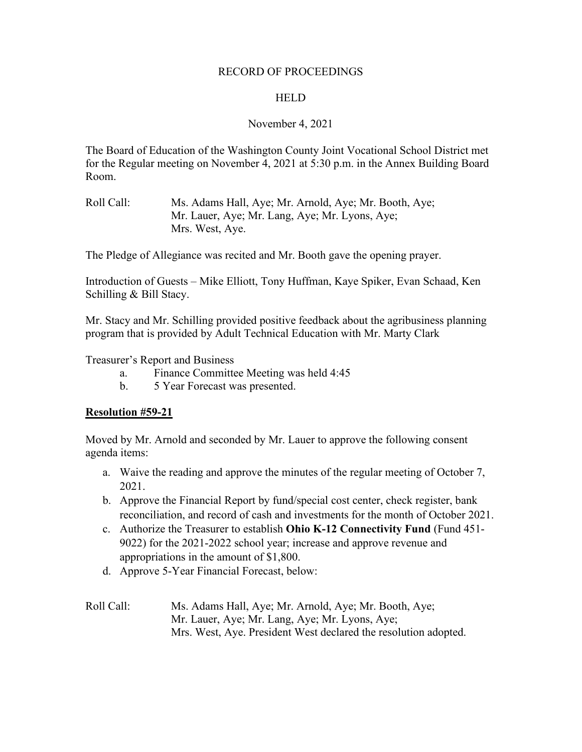## RECORD OF PROCEEDINGS

#### **HELD**

## November 4, 2021

The Board of Education of the Washington County Joint Vocational School District met for the Regular meeting on November 4, 2021 at 5:30 p.m. in the Annex Building Board Room.

Roll Call: Ms. Adams Hall, Aye; Mr. Arnold, Aye; Mr. Booth, Aye; Mr. Lauer, Aye; Mr. Lang, Aye; Mr. Lyons, Aye; Mrs. West, Aye.

The Pledge of Allegiance was recited and Mr. Booth gave the opening prayer.

Introduction of Guests – Mike Elliott, Tony Huffman, Kaye Spiker, Evan Schaad, Ken Schilling & Bill Stacy.

Mr. Stacy and Mr. Schilling provided positive feedback about the agribusiness planning program that is provided by Adult Technical Education with Mr. Marty Clark

Treasurer's Report and Business

- a. Finance Committee Meeting was held 4:45
- b. 5 Year Forecast was presented.

## **Resolution #59-21**

Moved by Mr. Arnold and seconded by Mr. Lauer to approve the following consent agenda items:

- a. Waive the reading and approve the minutes of the regular meeting of October 7, 2021.
- b. Approve the Financial Report by fund/special cost center, check register, bank reconciliation, and record of cash and investments for the month of October 2021.
- c. Authorize the Treasurer to establish **Ohio K-12 Connectivity Fund** (Fund 451- 9022) for the 2021-2022 school year; increase and approve revenue and appropriations in the amount of \$1,800.
- d. Approve 5-Year Financial Forecast, below:
- Roll Call: Ms. Adams Hall, Aye; Mr. Arnold, Aye; Mr. Booth, Aye; Mr. Lauer, Aye; Mr. Lang, Aye; Mr. Lyons, Aye; Mrs. West, Aye. President West declared the resolution adopted.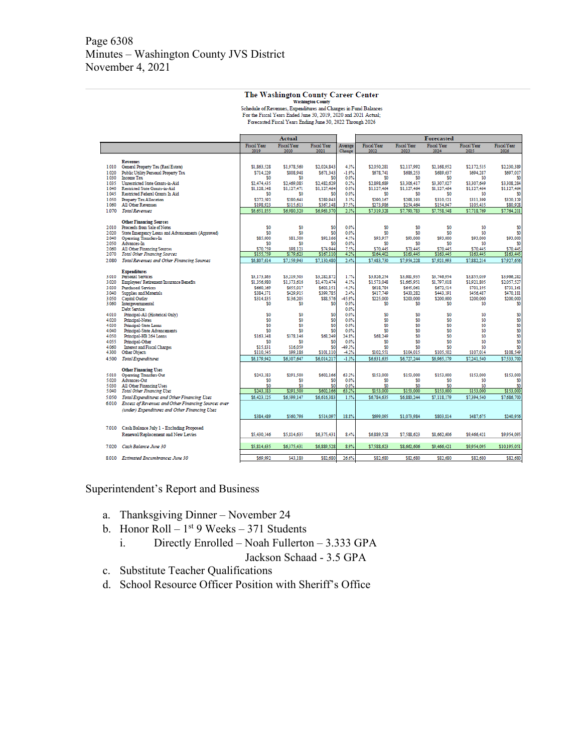#### The Washington County Career Center

Washington County<br>Schedule of Revenues, Expenditures and Changes in Fund Balances<br>For the Fiscal Years Ended June 30, 2019, 2020 and 2021 Actual;<br>Forecasted Fiscal Years Ending June 30, 2022 Through 2026

|                |                                                                                  | Actual                 |                        |                                  |                 | <b>Forecasted</b>      |                        |                        |                        |                        |  |
|----------------|----------------------------------------------------------------------------------|------------------------|------------------------|----------------------------------|-----------------|------------------------|------------------------|------------------------|------------------------|------------------------|--|
|                |                                                                                  | <b>Fiscal Year</b>     | <b>Fiscal Year</b>     | <b>Fiscal Year</b>               | Average         | <b>Fiscal Year</b>     | <b>Fiscal Year</b>     | <b>Fiscal Year</b>     | <b>Fiscal Year</b>     | <b>Fiscal Year</b>     |  |
|                |                                                                                  | 2019                   | 2020                   | 2021                             | Change          | 2022                   | 2023                   | 2024                   | 2025                   | 2026                   |  |
|                | <b>Revenues</b>                                                                  |                        |                        |                                  |                 |                        |                        |                        |                        |                        |  |
| 1.010          | General Property Tax (Real Estate)                                               | \$1,863,528            | \$1,978,560            | \$2,024,843                      | 4.3%            | \$2,050,281            | \$2,117,992            | \$2,168,952            | \$2,172,535            | \$2,230,389            |  |
| 1.020          | Public Utility Personal Property Tax                                             | \$714,229              | \$808,948              | \$671.343                        | $-1.9%$         | \$678,741              | \$686,253              | \$689,637              | \$694,287              | \$697,017              |  |
| 1.030          | <b>Income Tax</b>                                                                | \$0                    | \$0                    | S <sub>0</sub>                   | 0.0%            | \$0                    | \$0                    | \$0                    | \$O                    | \$0                    |  |
| 1.035          | Unrestricted State Grants-in-Aid                                                 | \$2,474,435            | \$2,469.085            | \$2,482,629                      | 0.2%            | \$2,898.689            | \$3,306,417            | \$3,307,027            | \$3,307,649            | \$3,308,284            |  |
| 1.040          | Restricted State Grants-in-Aid                                                   | \$1,128,148            | \$1,127,471            | \$1,127,464                      | 0.0%            | \$1,127,464            | \$1,127,464            | \$1,127,464            | \$1,127,464            | \$1,127,464            |  |
| 1.045          | Restricted Federal Grants In Aid                                                 | S <sub>0</sub>         | S0                     | S <sub>0</sub>                   | 0.0%            | S0                     | \$0                    | S0                     | S0                     | S0                     |  |
| 1.050          | <b>Property Tax Allocation</b>                                                   | \$272,592              | \$280,643              | \$289,943                        | 3.1%            | \$290,167              | \$298.193              | \$310,521              | \$311.399              | \$320,129              |  |
| 1.060          | All Other Revenues                                                               | \$198,923              | \$315,613              | \$367.148                        | 37.5%           | \$273,986              | \$254,464              | \$154,947              | \$105,435              | \$80,928               |  |
| 1.070          | <b>Total Revenues</b>                                                            | \$6,651,855            | \$6,980,320            | \$6,963,370                      | 2.3%            | \$7,319,328            | \$7,790,783            | \$7,758,548            | \$7,718,769            | \$7,764,211            |  |
|                |                                                                                  |                        |                        |                                  |                 |                        |                        |                        |                        |                        |  |
|                | <b>Other Financing Sources</b>                                                   |                        |                        |                                  |                 |                        |                        |                        |                        |                        |  |
| 2.010<br>2.020 | Proceeds from Sale of Notes<br>State Emergency Loans and Advancements (Approved) | S0<br>S <sub>0</sub>   | \$0<br>S0              | S <sub>0</sub><br>S <sub>0</sub> | 0.0%<br>0.0%    | \$0<br>S0              | \$0<br>\$0             | S0<br>S0               | S0<br>S0               | S <sub>0</sub><br>\$0  |  |
| 2.040          | <b>Operating Transfers-In</b>                                                    | \$85,000               | \$81,500               | \$92,166                         | 4.5%            | \$93,957               | \$93,000               | \$93,000               | \$93,000               | \$93,000               |  |
| 2.050          | Advances-In                                                                      | S <sub>0</sub>         | S0                     | S <sub>0</sub>                   | 0.0%            | S0                     | \$0                    | \$0                    | S0                     | \$0                    |  |
| 2.060          | <b>All Other Financing Sources</b>                                               | \$70,759               | \$98,123               | \$74,944                         | 7.5%            | \$70,445               | \$70,445               | \$70,445               | \$70,445               | \$70,445               |  |
| 2.070          | <b>Total Other Financing Sources</b>                                             | \$155,759              | \$179,623              | \$167,110                        | 4.2%            | \$164.402              | \$163,445              | \$163,445              | \$163,445              | \$163,445              |  |
| 2.080          | <b>Total Revenues and Other Financing Sources</b>                                | \$6,807,614            | \$7,159,943            | \$7,130,480                      | 2.4%            | \$7,483,730            | \$7,954,228            | \$7,921,993            | \$7,882,214            | \$7,927,656            |  |
|                |                                                                                  |                        |                        |                                  |                 |                        |                        |                        |                        |                        |  |
|                | <b>Expenditures</b>                                                              |                        |                        |                                  |                 |                        |                        |                        |                        |                        |  |
| 3.010          | <b>Personal Services</b>                                                         | \$3,173,863            | \$3,219,503            | \$3,282.872                      | 1.7%            | \$3,626.254            | \$3,681.935            | \$3,746,954            | \$3,855,039            | \$3,966,282            |  |
| 3.020          | <b>Employees' Retirement/Insurance Benefits</b>                                  | \$1,356,980            | \$1,373,616            | \$1,470,474                      | 4.1%            | \$1,573,048            | \$1,665,951            | \$1,797,018            | \$1,921,805            | \$2,057,527            |  |
| 3.030          | <b>Purchased Services</b>                                                        | \$660,169              | \$655,017              | \$603.151                        | $-4.3%$<br>2.4% | \$618.784              | \$645.061              | \$672.514              | \$701.195              | \$731.161              |  |
| 3.040<br>3.050 | Supplies and Materials<br>Capital Outlay                                         | \$384,371<br>\$314.835 | \$429,915<br>\$136,205 | \$399,785<br>\$88,576            | -45.9%          | \$417,749<br>\$225,000 | \$430,282<br>\$200,000 | \$443,191<br>\$200,000 | \$456,487<br>\$200,000 | \$470,181<br>\$200,000 |  |
| 3.060          | Intergovernmental                                                                | S <sub>0</sub>         | S0                     | \$0                              | 0.0%            | S0                     | \$0                    | S0                     | S0                     | \$0                    |  |
|                | Debt Service:                                                                    |                        |                        |                                  | 0.0%            |                        |                        |                        |                        |                        |  |
| 4.010          | Principal-All (Historical Only)                                                  | S <sub>0</sub>         | \$0                    | \$0                              | 0.0%            | \$0                    | SO.                    | S0                     | S0                     | \$0                    |  |
| 4.020          | Principal-Notes                                                                  | S <sub>0</sub>         | S0                     | S <sub>0</sub>                   | 0.0%            | \$0                    | \$0                    | S0                     | S0                     | \$0                    |  |
| 4.030          | Principal-State Loans                                                            | S <sub>0</sub>         | S <sub>0</sub>         | S <sub>0</sub>                   | 0.0%            | S <sub>0</sub>         | \$0                    | S0                     | S0                     | \$0                    |  |
| 4.040          | Principal-State Advancements                                                     | S <sub>0</sub>         | \$0                    | \$0                              | 0.0%            | \$0                    | \$0                    | SO <sub>1</sub>        | S0                     | \$0                    |  |
| 4.050          | Principal-HB 264 Loans                                                           | \$163,348              | \$378,146              | \$68,249                         | 24.8%           | \$68,249               | \$0                    | \$0                    | S0                     | \$0                    |  |
| 4.055          | Principal-Other                                                                  | S <sub>0</sub>         | \$0                    | \$0                              | 0.0%            | \$0                    | \$0                    | \$0                    | S0                     | \$O                    |  |
| 4.060          | <b>Interest and Fiscal Charges</b>                                               | \$15,831               | \$16,059               | S <sub>0</sub>                   | -49.3%          | \$0                    | \$0                    | \$0                    | S0                     | \$0                    |  |
| 4.300          | Other Objects                                                                    | \$110,545              | \$99,186               | \$101,110                        | $-4.2%$         | \$102,551              | \$104,015              | \$105,502              | \$107,014              | \$108,549              |  |
| 4.500          | <b>Total Expenditures</b>                                                        | \$6,179,942            | \$6,307,647            | \$6,014,217                      | $-1.3%$         | \$6,631,635            | \$6,727,244            | \$6,965,179            | \$7,241,540            | \$7,533,700            |  |
|                | <b>Other Financing Uses</b>                                                      |                        |                        |                                  |                 |                        |                        |                        |                        |                        |  |
| 5.010          | <b>Operating Transfers-Out</b>                                                   | \$243.183              | \$291.500              | \$602,166                        | 63.2%           | \$153,000              | \$153,000              | \$153,000              | \$153,000              | \$153,000              |  |
| 5.020          | Advances-Out                                                                     | S <sub>0</sub>         | \$0                    | S <sub>0</sub>                   | 0.0%            | <sub>\$0</sub>         | \$0                    | \$0                    | S0                     | \$0                    |  |
| 5.030          | <b>All Other Financing Uses</b>                                                  | S <sub>0</sub>         | \$0                    | \$0                              | 0.0%            | \$0                    | \$0                    | \$0                    | S0                     | \$0                    |  |
| 5.040          | <b>Total Other Financing Uses</b>                                                | \$243,183              | \$291,500              | \$602,166                        | 63.2%           | \$153,000              | \$153,000              | \$153,000              | \$153,000              | \$153,000              |  |
| 5.050          | Total Expenditures and Other Financing Uses                                      | \$6,423,125            | \$6,599,147            | \$6,616,383                      | 15%             | \$6,784,635            | \$6,880,244            | \$7,118,179            | \$7,394,540            | \$7,686,700            |  |
| 6.010          | Excess of Revenues and Other Financing Sources over                              |                        |                        |                                  |                 |                        |                        |                        |                        |                        |  |
|                | (under) Expenditures and Other Financing Uses                                    |                        |                        |                                  |                 |                        |                        |                        |                        |                        |  |
|                |                                                                                  | \$384,489              | \$560,796              | \$514,097                        | 18.8%           | \$699,095              | \$1,073,984            | \$803,814              | \$487,675              | \$240,956              |  |
|                |                                                                                  |                        |                        |                                  |                 |                        |                        |                        |                        |                        |  |
| 7.010          | Cash Balance July 1 - Excluding Proposed                                         |                        |                        |                                  |                 |                        |                        |                        |                        |                        |  |
|                | Renewal/Replacement and New Levies                                               | \$5,430,146            | \$5,814,635            | \$6,375,431                      | 8.4%            | \$6,889,528            | \$7,588,623            | \$8,662,606            | \$9,466,421            | \$9,954,095            |  |
| 7.020          |                                                                                  |                        |                        |                                  | 8.9%            |                        |                        |                        |                        |                        |  |
|                | Cash Balance June 30                                                             | \$5,814,635            | \$6,375,431            | \$6,889,528                      |                 | \$7,588,623            | \$8,662,606            | \$9,466,421            | \$9,954,095            | \$10,195,051           |  |
|                | 8.010 Estimated Encumbrances June 30                                             | \$69,992               | \$43,180               | \$82,680                         | 26.6%           | \$82,680               | \$82,680               | \$82,680               | \$82,680               | \$82,680               |  |

Superintendent's Report and Business

- a. Thanksgiving Dinner November 24
- b. Honor Roll  $1<sup>st</sup>$  9 Weeks 371 Students
	- i. Directly Enrolled Noah Fullerton 3.333 GPA Jackson Schaad - 3.5 GPA
- c. Substitute Teacher Qualifications
- d. School Resource Officer Position with Sheriff's Office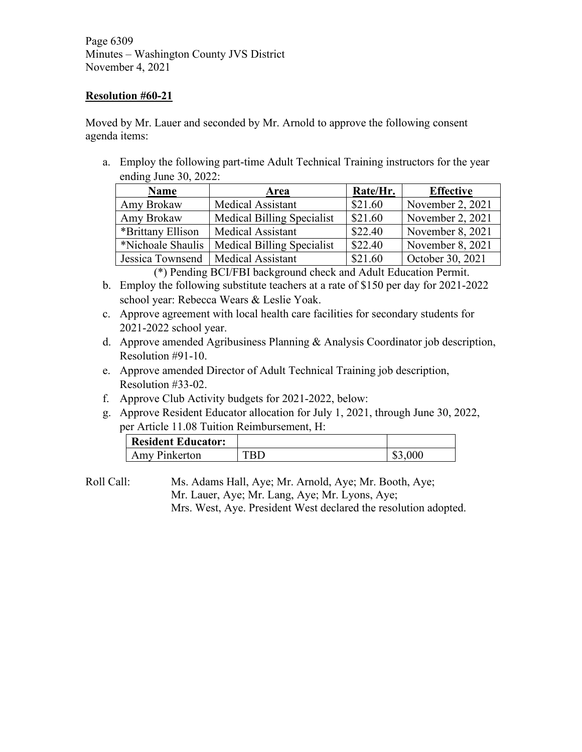Page 6309 Minutes – Washington County JVS District November 4, 2021

## **Resolution #60-21**

Moved by Mr. Lauer and seconded by Mr. Arnold to approve the following consent agenda items:

a. Employ the following part-time Adult Technical Training instructors for the year ending June 30, 2022:

| <b>Name</b>                          | Area                              | Rate/Hr. | <b>Effective</b> |  |
|--------------------------------------|-----------------------------------|----------|------------------|--|
| Amy Brokaw                           | <b>Medical Assistant</b>          | \$21.60  | November 2, 2021 |  |
| Amy Brokaw                           | Medical Billing Specialist        | \$21.60  | November 2, 2021 |  |
| *Brittany Ellison                    | <b>Medical Assistant</b>          | \$22.40  | November 8, 2021 |  |
| *Nichoale Shaulis                    | <b>Medical Billing Specialist</b> | \$22.40  | November 8, 2021 |  |
| Jessica Townsend   Medical Assistant |                                   | \$21.60  | October 30, 2021 |  |

(\*) Pending BCI/FBI background check and Adult Education Permit.

- b. Employ the following substitute teachers at a rate of \$150 per day for 2021-2022 school year: Rebecca Wears & Leslie Yoak.
- c. Approve agreement with local health care facilities for secondary students for 2021-2022 school year.
- d. Approve amended Agribusiness Planning & Analysis Coordinator job description, Resolution #91-10.
- e. Approve amended Director of Adult Technical Training job description, Resolution #33-02.
- f. Approve Club Activity budgets for 2021-2022, below:
- g. Approve Resident Educator allocation for July 1, 2021, through June 30, 2022, per Article 11.08 Tuition Reimbursement, H:

| <b>Resident Educator:</b> |     |
|---------------------------|-----|
| Amy Pinkerton             | 00C |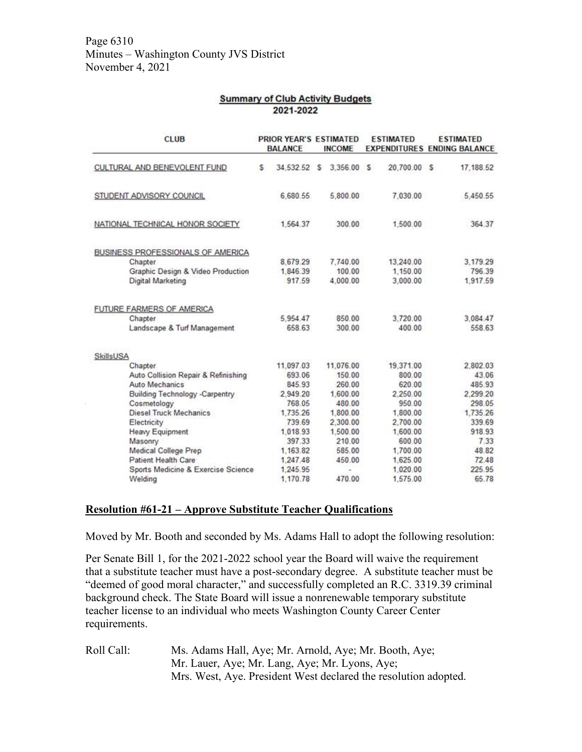| <b>Summary of Club Activity Budgets</b> |  |
|-----------------------------------------|--|
| 2021-2022                               |  |

| <b>CLUB</b>                         |   | PRIOR YEAR'S ESTIMATED<br><b>BALANCE</b> |   | <b>INCOME</b> |   | <b>ESTIMATED</b> | <b>ESTIMATED</b><br><b>EXPENDITURES ENDING BALANCE</b> |
|-------------------------------------|---|------------------------------------------|---|---------------|---|------------------|--------------------------------------------------------|
| CULTURAL AND BENEVOLENT FUND        | s | 34.532.52                                | s | 3.356.00      | s | 20.700.00 S      | 17.188.52                                              |
| STUDENT ADVISORY COUNCIL            |   | 6,680.55                                 |   | 5,800.00      |   | 7.030.00         | 5.450.55                                               |
| NATIONAL TECHNICAL HONOR SOCIETY    |   | 1,564.37                                 |   | 300.00        |   | 1,500.00         | 364.37                                                 |
| BUSINESS PROFESSIONALS OF AMERICA   |   |                                          |   |               |   |                  |                                                        |
| Chapter                             |   | 8,679.29                                 |   | 7,740.00      |   | 13,240.00        | 3.179.29                                               |
| Graphic Design & Video Production   |   | 1,846.39                                 |   | 100.00        |   | 1,150.00         | 796.39                                                 |
| Digital Marketing                   |   | 917.59                                   |   | 4.000.00      |   | 3.000.00         | 1.917.59                                               |
| FUTURE FARMERS OF AMERICA           |   |                                          |   |               |   |                  |                                                        |
| Chapter                             |   | 5.954.47                                 |   | 850.00        |   | 3,720.00         | 3.084.47                                               |
| Landscape & Turf Management         |   | 658.63                                   |   | 300.00        |   | 400.00           | 558.63                                                 |
| SkillsUSA                           |   |                                          |   |               |   |                  |                                                        |
| Chapter                             |   | 11.097.03                                |   | 11.076.00     |   | 19.371.00        | 2,802.03                                               |
| Auto Collision Repair & Refinishing |   | 693.06                                   |   | 150.00        |   | 800.00           | 43.06                                                  |
| <b>Auto Mechanics</b>               |   | 845.93                                   |   | 260.00        |   | 620.00           | 485.93                                                 |
| Building Technology -Carpentry      |   | 2.949.20                                 |   | 1,600.00      |   | 2,250.00         | 2.299.20                                               |
| Cosmetology                         |   | 768.05                                   |   | 480.00        |   | 950.00           | 298.05                                                 |
| Diesel Truck Mechanics              |   | 1.735.26                                 |   | 1,800.00      |   | 1,800.00         | 1,735.26                                               |
| Electricity                         |   | 739.69                                   |   | 2,300.00      |   | 2,700.00         | 339.69                                                 |
| Heavy Equipment                     |   | 1,018.93                                 |   | 1,500.00      |   | 1,600.00         | 918.93                                                 |
| Masonry                             |   | 397.33                                   |   | 210.00        |   | 600.00           | 7.33                                                   |
| Medical College Prep                |   | 1.163.82                                 |   | 585.00        |   | 1,700.00         | 48.82                                                  |
| Patient Health Care                 |   | 1,247.48                                 |   | 450.00        |   | 1,625.00         | 72.48                                                  |
| Sports Medicine & Exercise Science  |   | 1,245.95                                 |   |               |   | 1,020.00         | 225.95                                                 |
| Welding                             |   | 1,170.78                                 |   | 470.00        |   | 1,575.00         | 65.78                                                  |

## **Resolution #61-21 – Approve Substitute Teacher Qualifications**

Moved by Mr. Booth and seconded by Ms. Adams Hall to adopt the following resolution:

Per Senate Bill 1, for the 2021-2022 school year the Board will waive the requirement that a substitute teacher must have a post-secondary degree. A substitute teacher must be "deemed of good moral character," and successfully completed an R.C. 3319.39 criminal background check. The State Board will issue a nonrenewable temporary substitute teacher license to an individual who meets Washington County Career Center requirements.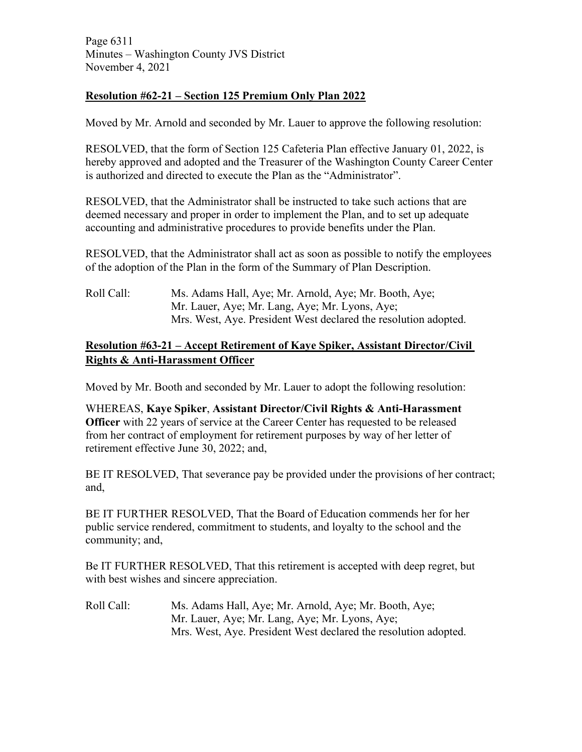Page 6311 Minutes – Washington County JVS District November 4, 2021

# **Resolution #62-21 – Section 125 Premium Only Plan 2022**

Moved by Mr. Arnold and seconded by Mr. Lauer to approve the following resolution:

RESOLVED, that the form of Section 125 Cafeteria Plan effective January 01, 2022, is hereby approved and adopted and the Treasurer of the Washington County Career Center is authorized and directed to execute the Plan as the "Administrator".

RESOLVED, that the Administrator shall be instructed to take such actions that are deemed necessary and proper in order to implement the Plan, and to set up adequate accounting and administrative procedures to provide benefits under the Plan.

RESOLVED, that the Administrator shall act as soon as possible to notify the employees of the adoption of the Plan in the form of the Summary of Plan Description.

Roll Call: Ms. Adams Hall, Aye; Mr. Arnold, Aye; Mr. Booth, Aye; Mr. Lauer, Aye; Mr. Lang, Aye; Mr. Lyons, Aye; Mrs. West, Aye. President West declared the resolution adopted.

# **Resolution #63-21 – Accept Retirement of Kaye Spiker, Assistant Director/Civil Rights & Anti-Harassment Officer**

Moved by Mr. Booth and seconded by Mr. Lauer to adopt the following resolution:

WHEREAS, **Kaye Spiker**, **Assistant Director/Civil Rights & Anti-Harassment Officer** with 22 years of service at the Career Center has requested to be released from her contract of employment for retirement purposes by way of her letter of retirement effective June 30, 2022; and,

BE IT RESOLVED, That severance pay be provided under the provisions of her contract; and,

BE IT FURTHER RESOLVED, That the Board of Education commends her for her public service rendered, commitment to students, and loyalty to the school and the community; and,

Be IT FURTHER RESOLVED, That this retirement is accepted with deep regret, but with best wishes and sincere appreciation.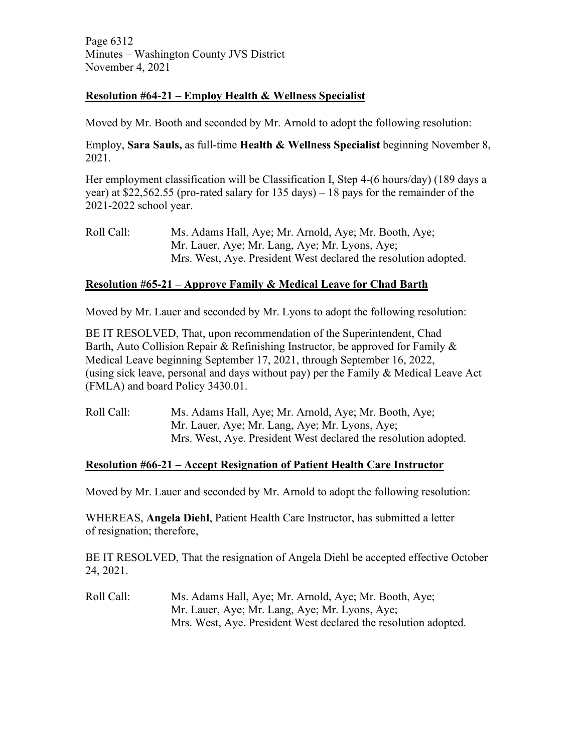Page 6312 Minutes – Washington County JVS District November 4, 2021

## **Resolution #64-21 – Employ Health & Wellness Specialist**

Moved by Mr. Booth and seconded by Mr. Arnold to adopt the following resolution:

Employ, **Sara Sauls,** as full-time **Health & Wellness Specialist** beginning November 8, 2021.

Her employment classification will be Classification I, Step 4-(6 hours/day) (189 days a year) at \$22,562.55 (pro-rated salary for 135 days) – 18 pays for the remainder of the 2021-2022 school year.

Roll Call: Ms. Adams Hall, Aye; Mr. Arnold, Aye; Mr. Booth, Aye; Mr. Lauer, Aye; Mr. Lang, Aye; Mr. Lyons, Aye; Mrs. West, Aye. President West declared the resolution adopted.

## **Resolution #65-21 – Approve Family & Medical Leave for Chad Barth**

Moved by Mr. Lauer and seconded by Mr. Lyons to adopt the following resolution:

BE IT RESOLVED, That, upon recommendation of the Superintendent, Chad Barth, Auto Collision Repair & Refinishing Instructor, be approved for Family  $\&$ Medical Leave beginning September 17, 2021, through September 16, 2022, (using sick leave, personal and days without pay) per the Family  $\&$  Medical Leave Act (FMLA) and board Policy 3430.01.

Roll Call: Ms. Adams Hall, Aye; Mr. Arnold, Aye; Mr. Booth, Aye; Mr. Lauer, Aye; Mr. Lang, Aye; Mr. Lyons, Aye; Mrs. West, Aye. President West declared the resolution adopted.

# **Resolution #66-21 – Accept Resignation of Patient Health Care Instructor**

Moved by Mr. Lauer and seconded by Mr. Arnold to adopt the following resolution:

WHEREAS, **Angela Diehl**, Patient Health Care Instructor, has submitted a letter of resignation; therefore,

BE IT RESOLVED, That the resignation of Angela Diehl be accepted effective October 24, 2021.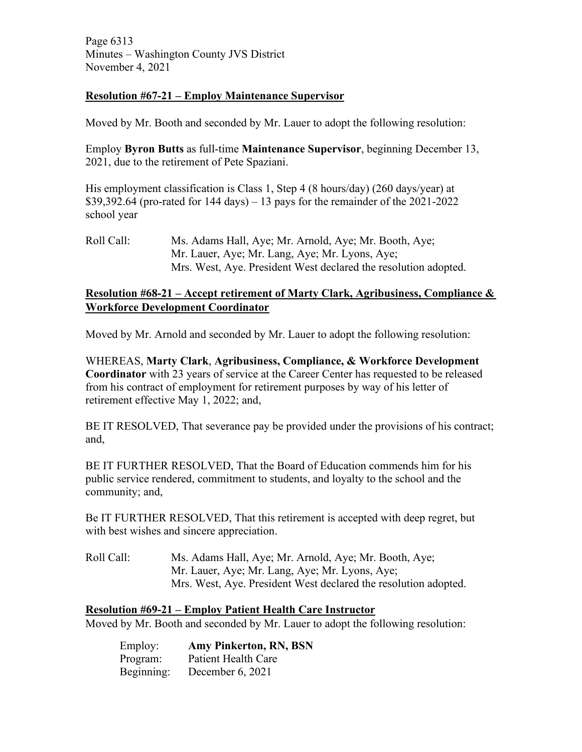Page 6313 Minutes – Washington County JVS District November 4, 2021

## **Resolution #67-21 – Employ Maintenance Supervisor**

Moved by Mr. Booth and seconded by Mr. Lauer to adopt the following resolution:

Employ **Byron Butts** as full-time **Maintenance Supervisor**, beginning December 13, 2021, due to the retirement of Pete Spaziani.

His employment classification is Class 1, Step 4 (8 hours/day) (260 days/year) at  $$39,392.64$  (pro-rated for 144 days) – 13 pays for the remainder of the 2021-2022 school year

Roll Call: Ms. Adams Hall, Aye; Mr. Arnold, Aye; Mr. Booth, Aye; Mr. Lauer, Aye; Mr. Lang, Aye; Mr. Lyons, Aye; Mrs. West, Aye. President West declared the resolution adopted.

# **Resolution #68-21 – Accept retirement of Marty Clark, Agribusiness, Compliance & Workforce Development Coordinator**

Moved by Mr. Arnold and seconded by Mr. Lauer to adopt the following resolution:

WHEREAS, **Marty Clark**, **Agribusiness, Compliance, & Workforce Development Coordinator** with 23 years of service at the Career Center has requested to be released from his contract of employment for retirement purposes by way of his letter of retirement effective May 1, 2022; and,

BE IT RESOLVED, That severance pay be provided under the provisions of his contract; and,

BE IT FURTHER RESOLVED, That the Board of Education commends him for his public service rendered, commitment to students, and loyalty to the school and the community; and,

Be IT FURTHER RESOLVED, That this retirement is accepted with deep regret, but with best wishes and sincere appreciation.

Roll Call: Ms. Adams Hall, Aye; Mr. Arnold, Aye; Mr. Booth, Aye; Mr. Lauer, Aye; Mr. Lang, Aye; Mr. Lyons, Aye; Mrs. West, Aye. President West declared the resolution adopted.

## **Resolution #69-21 – Employ Patient Health Care Instructor**

Moved by Mr. Booth and seconded by Mr. Lauer to adopt the following resolution:

| Employ:    | Amy Pinkerton, RN, BSN |
|------------|------------------------|
| Program:   | Patient Health Care    |
| Beginning: | December 6, 2021       |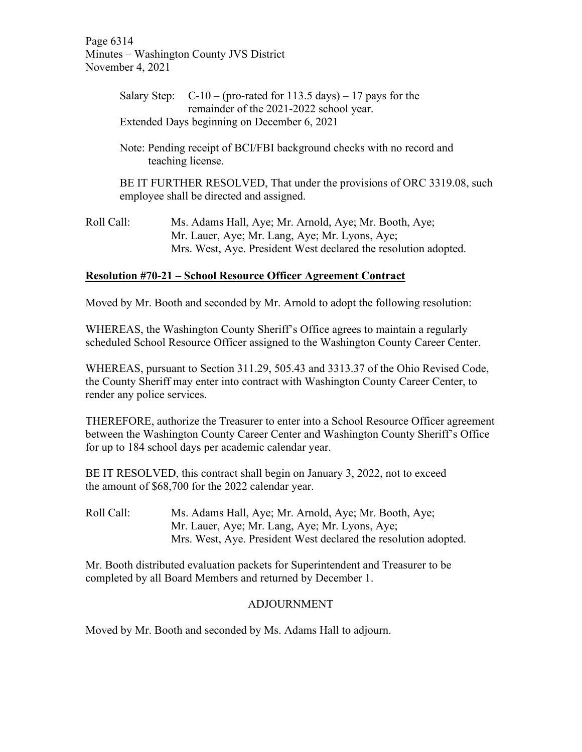Page 6314 Minutes – Washington County JVS District November 4, 2021

|            | Salary Step: $C-10$ – (pro-rated for 113.5 days) – 17 pays for the<br>remainder of the 2021-2022 school year.      |
|------------|--------------------------------------------------------------------------------------------------------------------|
|            | Extended Days beginning on December 6, 2021                                                                        |
|            | Note: Pending receipt of BCI/FBI background checks with no record and<br>teaching license.                         |
|            | BE IT FURTHER RESOLVED, That under the provisions of ORC 3319.08, such<br>employee shall be directed and assigned. |
| Roll Call: | Ms. Adams Hall, Aye; Mr. Arnold, Aye; Mr. Booth, Aye;<br>Mr. Lauer, Aye; Mr. Lang, Aye; Mr. Lyons, Aye;            |

Mrs. West, Aye. President West declared the resolution adopted.

## **Resolution #70-21 – School Resource Officer Agreement Contract**

Moved by Mr. Booth and seconded by Mr. Arnold to adopt the following resolution:

WHEREAS, the Washington County Sheriff's Office agrees to maintain a regularly scheduled School Resource Officer assigned to the Washington County Career Center.

WHEREAS, pursuant to Section 311.29, 505.43 and 3313.37 of the Ohio Revised Code, the County Sheriff may enter into contract with Washington County Career Center, to render any police services.

THEREFORE, authorize the Treasurer to enter into a School Resource Officer agreement between the Washington County Career Center and Washington County Sheriff's Office for up to 184 school days per academic calendar year.

BE IT RESOLVED, this contract shall begin on January 3, 2022, not to exceed the amount of \$68,700 for the 2022 calendar year.

Roll Call: Ms. Adams Hall, Aye; Mr. Arnold, Aye; Mr. Booth, Aye; Mr. Lauer, Aye; Mr. Lang, Aye; Mr. Lyons, Aye; Mrs. West, Aye. President West declared the resolution adopted.

Mr. Booth distributed evaluation packets for Superintendent and Treasurer to be completed by all Board Members and returned by December 1.

## ADJOURNMENT

Moved by Mr. Booth and seconded by Ms. Adams Hall to adjourn.